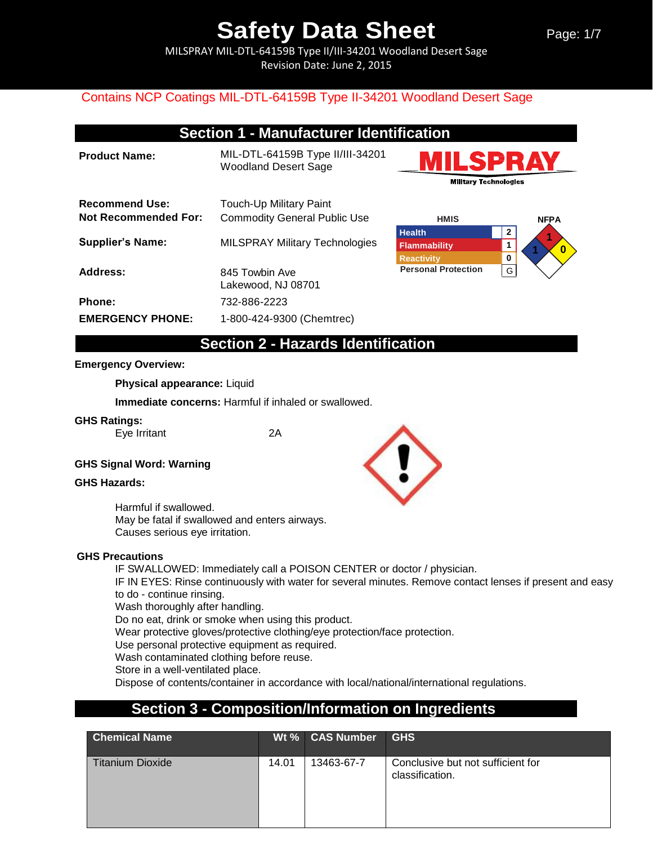MILSPRAY MIL-DTL-64159B Type II/III-34201 Woodland Desert Sage Revision Date: June 2, 2015

## Contains NCP Coatings MIL-DTL-64159B Type II-34201 Woodland Desert Sage

## **Section 1 - Manufacturer Identification**

| <b>Product Name:</b>                                 | MIL-DTL-64159B Type II/III-34201<br><b>Woodland Desert Sage</b> |
|------------------------------------------------------|-----------------------------------------------------------------|
| <b>Recommend Use:</b><br><b>Not Recommended For:</b> | Touch-Up Military Paint<br><b>Commodity General Public Use</b>  |
| <b>Supplier's Name:</b>                              | MILSPRAY Military Technologies                                  |
| Address:                                             | 845 Towbin Ave<br>Lakewood, NJ 08701                            |
| Phone:                                               | 732-886-2223                                                    |
| <b>EMERGENCY PHONE:</b>                              | 1-800-424-9300 (Chemtrec)                                       |





## **Section 2 - Hazards Identification**

#### **Emergency Overview:**

**Physical appearance:** Liquid

**Immediate concerns:** Harmful if inhaled or swallowed.

#### **GHS Ratings:**

Eye Irritant 2A

### **GHS Signal Word: Warning**

### **GHS Hazards:**

Harmful if swallowed. May be fatal if swallowed and enters airways. Causes serious eye irritation.

#### **GHS Precautions**

IF SWALLOWED: Immediately call a POISON CENTER or doctor / physician. IF IN EYES: Rinse continuously with water for several minutes. Remove contact lenses if present and easy to do - continue rinsing. Wash thoroughly after handling. Do no eat, drink or smoke when using this product. Wear protective gloves/protective clothing/eye protection/face protection. Use personal protective equipment as required. Wash contaminated clothing before reuse. Store in a well-ventilated place.

Dispose of contents/container in accordance with local/national/international regulations.

## **Section 3 - Composition/Information on Ingredients**

| <b>Chemical Name</b>    | Wt $%$ | <b>CAS Number</b> | <b>GHS</b>                                           |
|-------------------------|--------|-------------------|------------------------------------------------------|
| <b>Titanium Dioxide</b> | 14.01  | 13463-67-7        | Conclusive but not sufficient for<br>classification. |

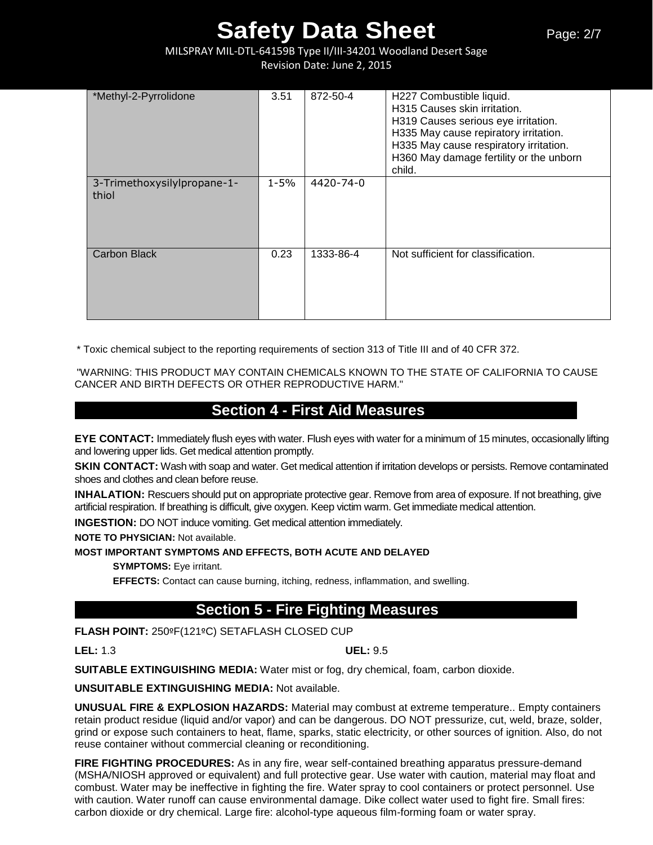MILSPRAY MIL-DTL-64159B Type II/III-34201 Woodland Desert Sage Revision Date: June 2, 2015

| *Methyl-2-Pyrrolidone                | 3.51     | 872-50-4  | H227 Combustible liquid.<br>H315 Causes skin irritation.<br>H319 Causes serious eye irritation.<br>H335 May cause repiratory irritation.<br>H335 May cause respiratory irritation.<br>H360 May damage fertility or the unborn<br>child. |
|--------------------------------------|----------|-----------|-----------------------------------------------------------------------------------------------------------------------------------------------------------------------------------------------------------------------------------------|
| 3-Trimethoxysilylpropane-1-<br>thiol | $1 - 5%$ | 4420-74-0 |                                                                                                                                                                                                                                         |
| <b>Carbon Black</b>                  | 0.23     | 1333-86-4 | Not sufficient for classification.                                                                                                                                                                                                      |

\* Toxic chemical subject to the reporting requirements of section 313 of Title III and of 40 CFR 372.

"WARNING: THIS PRODUCT MAY CONTAIN CHEMICALS KNOWN TO THE STATE OF CALIFORNIA TO CAUSE CANCER AND BIRTH DEFECTS OR OTHER REPRODUCTIVE HARM."

## **Section 4 - First Aid Measures**

**EYE CONTACT:** Immediately flush eyes with water. Flush eyes with water for a minimum of 15 minutes, occasionally lifting and lowering upper lids. Get medical attention promptly.

**SKIN CONTACT:** Wash with soap and water. Get medical attention if irritation develops or persists. Remove contaminated shoes and clothes and clean before reuse.

**INHALATION:** Rescuers should put on appropriate protective gear. Remove from area of exposure. If not breathing, give artificial respiration. If breathing is difficult, give oxygen. Keep victim warm. Get immediate medical attention.

**INGESTION:** DO NOT induce vomiting. Get medical attention immediately.

**NOTE TO PHYSICIAN:** Not available.

### **MOST IMPORTANT SYMPTOMS AND EFFECTS, BOTH ACUTE AND DELAYED**

#### **SYMPTOMS:** Eye irritant.

**EFFECTS:** Contact can cause burning, itching, redness, inflammation, and swelling.

## **Section 5 - Fire Fighting Measures**

#### **FLASH POINT:** 250ºF(121ºC) SETAFLASH CLOSED CUP

**LEL:** 1.3 **UEL:** 9.5

**SUITABLE EXTINGUISHING MEDIA:** Water mist or fog, dry chemical, foam, carbon dioxide.

**UNSUITABLE EXTINGUISHING MEDIA:** Not available.

**UNUSUAL FIRE & EXPLOSION HAZARDS:** Material may combust at extreme temperature.. Empty containers retain product residue (liquid and/or vapor) and can be dangerous. DO NOT pressurize, cut, weld, braze, solder, grind or expose such containers to heat, flame, sparks, static electricity, or other sources of ignition. Also, do not reuse container without commercial cleaning or reconditioning.

**FIRE FIGHTING PROCEDURES:** As in any fire, wear self-contained breathing apparatus pressure-demand (MSHA/NIOSH approved or equivalent) and full protective gear. Use water with caution, material may float and combust. Water may be ineffective in fighting the fire. Water spray to cool containers or protect personnel. Use with caution. Water runoff can cause environmental damage. Dike collect water used to fight fire. Small fires: carbon dioxide or dry chemical. Large fire: alcohol-type aqueous film-forming foam or water spray.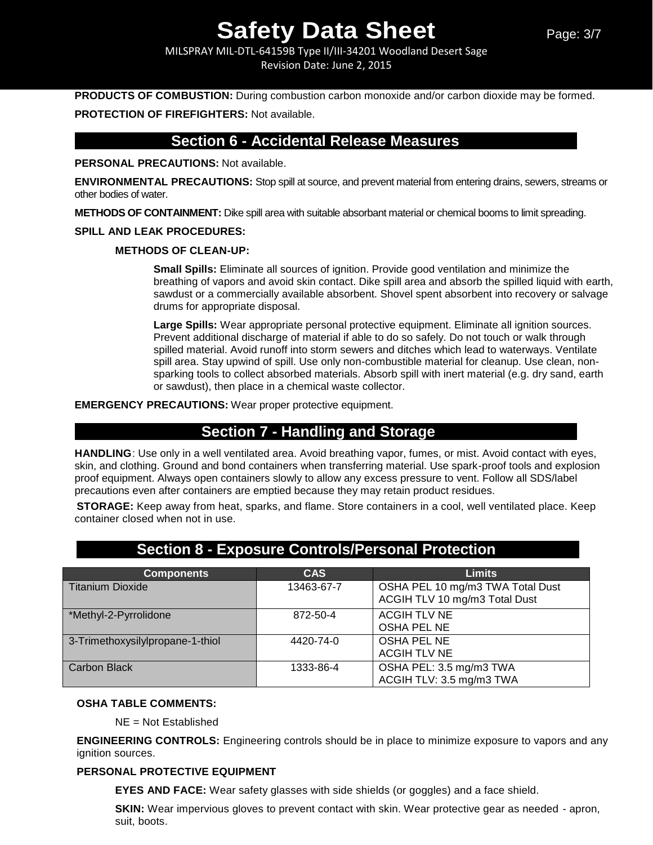MILSPRAY MIL-DTL-64159B Type II/III-34201 Woodland Desert Sage Revision Date: June 2, 2015

**PRODUCTS OF COMBUSTION:** During combustion carbon monoxide and/or carbon dioxide may be formed.

#### **PROTECTION OF FIREFIGHTERS:** Not available.

## **Section 6 - Accidental Release Measures**

#### **PERSONAL PRECAUTIONS:** Not available.

**ENVIRONMENTAL PRECAUTIONS:** Stop spill at source, and prevent material from entering drains, sewers, streams or other bodies of water.

**METHODS OF CONTAINMENT:** Dike spill area with suitable absorbant material or chemical booms to limit spreading.

#### **SPILL AND LEAK PROCEDURES:**

#### **METHODS OF CLEAN-UP:**

**Small Spills:** Eliminate all sources of ignition. Provide good ventilation and minimize the breathing of vapors and avoid skin contact. Dike spill area and absorb the spilled liquid with earth, sawdust or a commercially available absorbent. Shovel spent absorbent into recovery or salvage drums for appropriate disposal.

**Large Spills:** Wear appropriate personal protective equipment. Eliminate all ignition sources. Prevent additional discharge of material if able to do so safely. Do not touch or walk through spilled material. Avoid runoff into storm sewers and ditches which lead to waterways. Ventilate spill area. Stay upwind of spill. Use only non-combustible material for cleanup. Use clean, nonsparking tools to collect absorbed materials. Absorb spill with inert material (e.g. dry sand, earth or sawdust), then place in a chemical waste collector.

**EMERGENCY PRECAUTIONS:** Wear proper protective equipment.

## **Section 7 - Handling and Storage**

**HANDLING**: Use only in a well ventilated area. Avoid breathing vapor, fumes, or mist. Avoid contact with eyes, skin, and clothing. Ground and bond containers when transferring material. Use spark-proof tools and explosion proof equipment. Always open containers slowly to allow any excess pressure to vent. Follow all SDS/label precautions even after containers are emptied because they may retain product residues.

**STORAGE:** Keep away from heat, sparks, and flame. Store containers in a cool, well ventilated place. Keep container closed when not in use.

## **Section 8 - Exposure Controls/Personal Protection**

| <b>Components</b>                | <b>CAS</b> | <b>Limits</b>                                                     |
|----------------------------------|------------|-------------------------------------------------------------------|
| <b>Titanium Dioxide</b>          | 13463-67-7 | OSHA PEL 10 mg/m3 TWA Total Dust<br>ACGIH TLV 10 mg/m3 Total Dust |
| *Methyl-2-Pyrrolidone            | 872-50-4   | <b>ACGIH TLV NE</b><br><b>OSHA PEL NE</b>                         |
| 3-Trimethoxysilylpropane-1-thiol | 4420-74-0  | OSHA PEL NE<br><b>ACGIH TLV NE</b>                                |
| Carbon Black                     | 1333-86-4  | OSHA PEL: 3.5 mg/m3 TWA<br>ACGIH TLV: 3.5 mg/m3 TWA               |

### **OSHA TABLE COMMENTS:**

NE = Not Established

**ENGINEERING CONTROLS:** Engineering controls should be in place to minimize exposure to vapors and any ignition sources.

#### **PERSONAL PROTECTIVE EQUIPMENT**

**EYES AND FACE:** Wear safety glasses with side shields (or goggles) and a face shield.

**SKIN:** Wear impervious gloves to prevent contact with skin. Wear protective gear as needed - apron, suit, boots.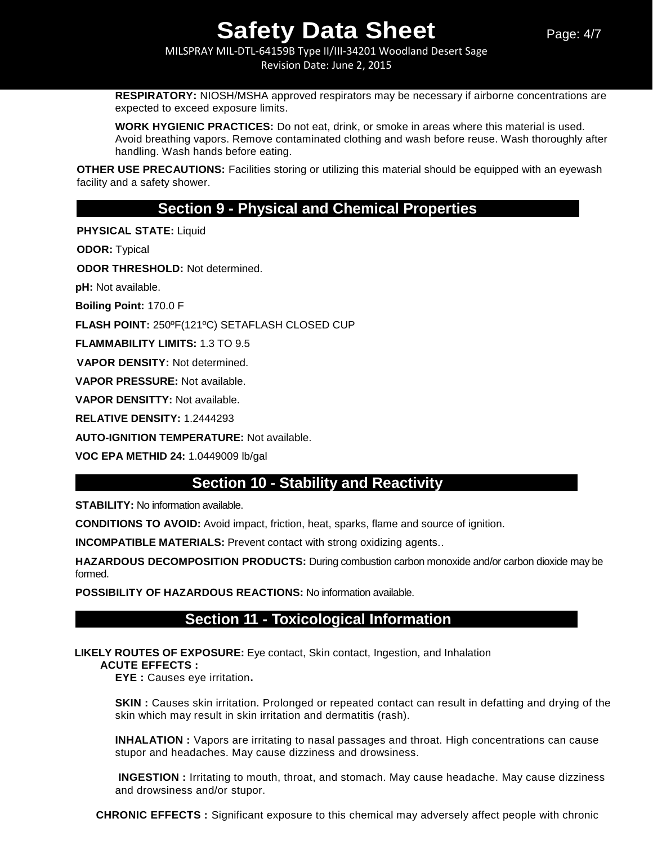MILSPRAY MIL-DTL-64159B Type II/III-34201 Woodland Desert Sage Revision Date: June 2, 2015

**RESPIRATORY:** NIOSH/MSHA approved respirators may be necessary if airborne concentrations are expected to exceed exposure limits.

**WORK HYGIENIC PRACTICES:** Do not eat, drink, or smoke in areas where this material is used. Avoid breathing vapors. Remove contaminated clothing and wash before reuse. Wash thoroughly after handling. Wash hands before eating.

**OTHER USE PRECAUTIONS:** Facilities storing or utilizing this material should be equipped with an eyewash facility and a safety shower.

## **Section 9 - Physical and Chemical Properties**

**PHYSICAL STATE:** Liquid

**ODOR:** Typical

**ODOR THRESHOLD:** Not determined.

**pH:** Not available.

**Boiling Point:** 170.0 F

**FLASH POINT:** 250ºF(121ºC) SETAFLASH CLOSED CUP

**FLAMMABILITY LIMITS:** 1.3 TO 9.5

**VAPOR DENSITY:** Not determined.

**VAPOR PRESSURE:** Not available.

**VAPOR DENSITTY:** Not available.

**RELATIVE DENSITY:** 1.2444293

**AUTO-IGNITION TEMPERATURE:** Not available.

**VOC EPA METHID 24:** 1.0449009 lb/gal

## **Section 10 - Stability and Reactivity**

**STABILITY:** No information available.

**CONDITIONS TO AVOID:** Avoid impact, friction, heat, sparks, flame and source of ignition.

**INCOMPATIBLE MATERIALS:** Prevent contact with strong oxidizing agents..

**HAZARDOUS DECOMPOSITION PRODUCTS:** During combustion carbon monoxide and/or carbon dioxide may be formed.

**POSSIBILITY OF HAZARDOUS REACTIONS:** No information available.

## **Section 11 - Toxicological Information**

**LIKELY ROUTES OF EXPOSURE:** Eye contact, Skin contact, Ingestion, and Inhalation

#### **ACUTE EFFECTS :**

**EYE :** Causes eye irritation**.** 

**SKIN** : Causes skin irritation. Prolonged or repeated contact can result in defatting and drying of the skin which may result in skin irritation and dermatitis (rash).

**INHALATION :** Vapors are irritating to nasal passages and throat. High concentrations can cause stupor and headaches. May cause dizziness and drowsiness.

**INGESTION :** Irritating to mouth, throat, and stomach. May cause headache. May cause dizziness and drowsiness and/or stupor.

**CHRONIC EFFECTS :** Significant exposure to this chemical may adversely affect people with chronic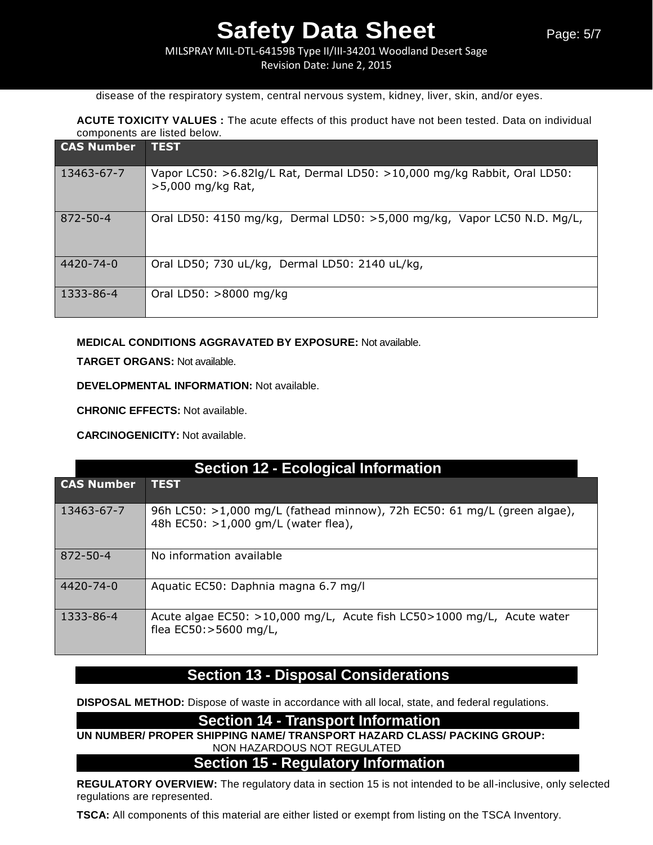MILSPRAY MIL-DTL-64159B Type II/III-34201 Woodland Desert Sage Revision Date: June 2, 2015

disease of the respiratory system, central nervous system, kidney, liver, skin, and/or eyes.

**ACUTE TOXICITY VALUES :** The acute effects of this product have not been tested. Data on individual components are listed below.

| <b>CAS Number</b> | <b>TEST</b>                                                                                   |
|-------------------|-----------------------------------------------------------------------------------------------|
| 13463-67-7        | Vapor LC50: >6.82lg/L Rat, Dermal LD50: >10,000 mg/kg Rabbit, Oral LD50:<br>>5,000 mg/kg Rat, |
| 872-50-4          | Oral LD50: 4150 mg/kg, Dermal LD50: $>5,000$ mg/kg, Vapor LC50 N.D. Mg/L,                     |
| $4420 - 74 - 0$   | Oral LD50; 730 uL/kg, Dermal LD50: 2140 uL/kg,                                                |
| 1333-86-4         | Oral LD50: >8000 mg/kg                                                                        |

### **MEDICAL CONDITIONS AGGRAVATED BY EXPOSURE:** Not available.

**TARGET ORGANS:** Not available.

**DEVELOPMENTAL INFORMATION:** Not available.

**CHRONIC EFFECTS:** Not available.

**CARCINOGENICITY:** Not available.

| <b>Section 12 - Ecological Information</b> |                                                                                                                 |  |
|--------------------------------------------|-----------------------------------------------------------------------------------------------------------------|--|
| <b>CAS Number</b>                          | <b>TEST</b>                                                                                                     |  |
| 13463-67-7                                 | 96h LC50: >1,000 mg/L (fathead minnow), 72h EC50: 61 mg/L (green algae),<br>48h EC50: >1,000 gm/L (water flea), |  |
| $872 - 50 - 4$                             | No information available                                                                                        |  |
| 4420-74-0                                  | Aquatic EC50: Daphnia magna 6.7 mg/l                                                                            |  |
| 1333-86-4                                  | Acute algae EC50: >10,000 mg/L, Acute fish LC50>1000 mg/L, Acute water<br>flea EC50:>5600 mg/L,                 |  |

## **Section 13 - Disposal Considerations**

**DISPOSAL METHOD:** Dispose of waste in accordance with all local, state, and federal regulations.

## **Section 14 - Transport Information**

**UN NUMBER/ PROPER SHIPPING NAME/ TRANSPORT HAZARD CLASS/ PACKING GROUP:** 

NON HAZARDOUS NOT REGULATED

**Section 15 - Regulatory Information**

**REGULATORY OVERVIEW:** The regulatory data in section 15 is not intended to be all-inclusive, only selected regulations are represented.

**TSCA:** All components of this material are either listed or exempt from listing on the TSCA Inventory.